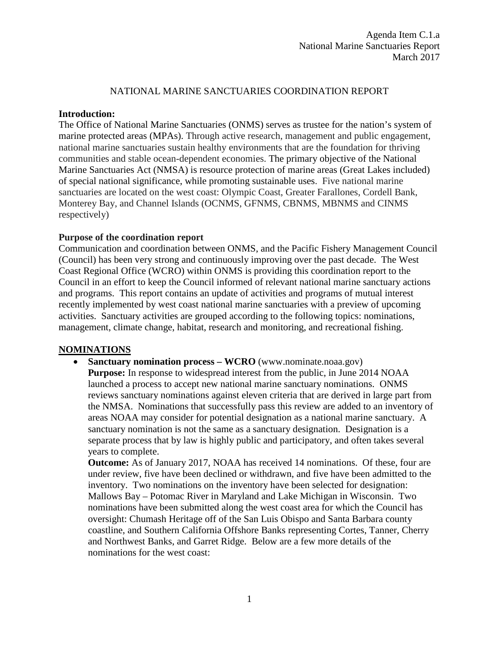### NATIONAL MARINE SANCTUARIES COORDINATION REPORT

#### **Introduction:**

The Office of National Marine Sanctuaries (ONMS) serves as trustee for the nation's system of marine protected areas (MPAs). Through active research, management and public engagement, national marine sanctuaries sustain healthy environments that are the foundation for thriving communities and stable ocean-dependent economies. The primary objective of the National Marine Sanctuaries Act (NMSA) is resource protection of marine areas (Great Lakes included) of special national significance, while promoting sustainable uses. Five national marine sanctuaries are located on the west coast: Olympic Coast, Greater Farallones, Cordell Bank, Monterey Bay, and Channel Islands (OCNMS, GFNMS, CBNMS, MBNMS and CINMS respectively)

### **Purpose of the coordination report**

Communication and coordination between ONMS, and the Pacific Fishery Management Council (Council) has been very strong and continuously improving over the past decade. The West Coast Regional Office (WCRO) within ONMS is providing this coordination report to the Council in an effort to keep the Council informed of relevant national marine sanctuary actions and programs. This report contains an update of activities and programs of mutual interest recently implemented by west coast national marine sanctuaries with a preview of upcoming activities. Sanctuary activities are grouped according to the following topics: nominations, management, climate change, habitat, research and monitoring, and recreational fishing.

### **NOMINATIONS**

• **Sanctuary nomination process – WCRO** (www.nominate.noaa.gov) **Purpose:** In response to widespread interest from the public, in June 2014 NOAA launched a process to accept new national marine sanctuary nominations. ONMS reviews sanctuary nominations against eleven criteria that are derived in large part from the NMSA. Nominations that successfully pass this review are added to an inventory of areas NOAA may consider for potential designation as a national marine sanctuary. A sanctuary nomination is not the same as a sanctuary designation. Designation is a separate process that by law is highly public and participatory, and often takes several years to complete.

**Outcome:** As of January 2017, NOAA has received 14 nominations. Of these, four are under review, five have been declined or withdrawn, and five have been admitted to the inventory. Two nominations on the inventory have been selected for designation: Mallows Bay – Potomac River in Maryland and Lake Michigan in Wisconsin. Two nominations have been submitted along the west coast area for which the Council has oversight: Chumash Heritage off of the San Luis Obispo and Santa Barbara county coastline, and Southern California Offshore Banks representing Cortes, Tanner, Cherry and Northwest Banks, and Garret Ridge. Below are a few more details of the nominations for the west coast: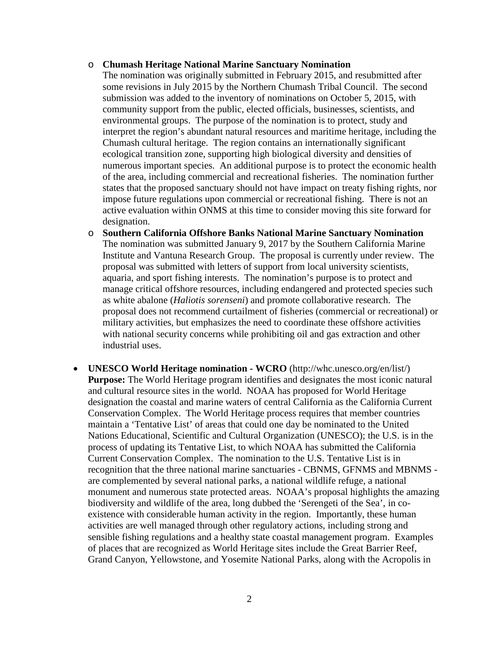#### o **Chumash Heritage National Marine Sanctuary Nomination**

The nomination was originally submitted in February 2015, and resubmitted after some revisions in July 2015 by the Northern Chumash Tribal Council. The second submission was added to the inventory of nominations on October 5, 2015, with community support from the public, elected officials, businesses, scientists, and environmental groups. The purpose of the nomination is to protect, study and interpret the region's abundant natural resources and maritime heritage, including the Chumash cultural heritage. The region contains an internationally significant ecological transition zone, supporting high biological diversity and densities of numerous important species. An additional purpose is to protect the economic health of the area, including commercial and recreational fisheries. The nomination further states that the proposed sanctuary should not have impact on treaty fishing rights, nor impose future regulations upon commercial or recreational fishing. There is not an active evaluation within ONMS at this time to consider moving this site forward for designation.

- o **Southern California Offshore Banks National Marine Sanctuary Nomination** The nomination was submitted January 9, 2017 by the Southern California Marine Institute and Vantuna Research Group. The proposal is currently under review. The proposal was submitted with letters of support from local university scientists, aquaria, and sport fishing interests. The nomination's purpose is to protect and manage critical offshore resources, including endangered and protected species such as white abalone (*Haliotis sorenseni*) and promote collaborative research. The proposal does not recommend curtailment of fisheries (commercial or recreational) or military activities, but emphasizes the need to coordinate these offshore activities with national security concerns while prohibiting oil and gas extraction and other industrial uses.
- **UNESCO World Heritage nomination - WCRO** (http://whc.unesco.org/en/list/) **Purpose:** The World Heritage program identifies and designates the most iconic natural and cultural resource sites in the world. NOAA has proposed for World Heritage designation the coastal and marine waters of central California as the California Current Conservation Complex. The World Heritage process requires that member countries maintain a 'Tentative List' of areas that could one day be nominated to the United Nations Educational, Scientific and Cultural Organization (UNESCO); the U.S. is in the process of updating its Tentative List, to which NOAA has submitted the California Current Conservation Complex. The nomination to the U.S. Tentative List is in recognition that the three national marine sanctuaries - CBNMS, GFNMS and MBNMS are complemented by several national parks, a national wildlife refuge, a national monument and numerous state protected areas. NOAA's proposal highlights the amazing biodiversity and wildlife of the area, long dubbed the 'Serengeti of the Sea', in coexistence with considerable human activity in the region. Importantly, these human activities are well managed through other regulatory actions, including strong and sensible fishing regulations and a healthy state coastal management program. Examples of places that are recognized as World Heritage sites include the Great Barrier Reef, Grand Canyon, Yellowstone, and Yosemite National Parks, along with the Acropolis in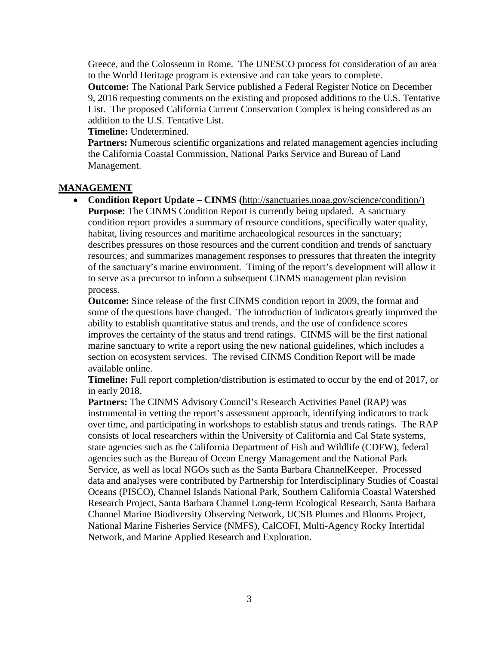Greece, and the Colosseum in Rome. The UNESCO process for consideration of an area to the World Heritage program is extensive and can take years to complete.

**Outcome:** The National Park Service published a Federal Register Notice on December 9, 2016 requesting comments on the existing and proposed additions to the U.S. Tentative List. The proposed California Current Conservation Complex is being considered as an addition to the U.S. Tentative List.

#### **Timeline:** Undetermined.

**Partners:** Numerous scientific organizations and related management agencies including the California Coastal Commission, National Parks Service and Bureau of Land Management.

### **MANAGEMENT**

• **Condition Report Update – CINMS (**[http://sanctuaries.noaa.gov/science/condition/\)](http://sanctuaries.noaa.gov/science/condition/) **Purpose:** The CINMS Condition Report is currently being updated. A sanctuary condition report provides a summary of resource conditions, specifically water quality, habitat, living resources and maritime archaeological resources in the sanctuary; describes pressures on those resources and the current condition and trends of sanctuary resources; and summarizes management responses to pressures that threaten the integrity of the sanctuary's marine environment. Timing of the report's development will allow it to serve as a precursor to inform a subsequent CINMS management plan revision process.

**Outcome:** Since release of the first CINMS condition report in 2009, the format and some of the questions have changed. The introduction of indicators greatly improved the ability to establish quantitative status and trends, and the use of confidence scores improves the certainty of the status and trend ratings. CINMS will be the first national marine sanctuary to write a report using the new national guidelines, which includes a section on ecosystem services. The revised CINMS Condition Report will be made available online.

**Timeline:** Full report completion/distribution is estimated to occur by the end of 2017, or in early 2018.

**Partners:** The CINMS Advisory Council's Research Activities Panel (RAP) was instrumental in vetting the report's assessment approach, identifying indicators to track over time, and participating in workshops to establish status and trends ratings. The RAP consists of local researchers within the University of California and Cal State systems, state agencies such as the California Department of Fish and Wildlife (CDFW), federal agencies such as the Bureau of Ocean Energy Management and the National Park Service, as well as local NGOs such as the Santa Barbara ChannelKeeper. Processed data and analyses were contributed by Partnership for Interdisciplinary Studies of Coastal Oceans (PISCO), Channel Islands National Park, Southern California Coastal Watershed Research Project, Santa Barbara Channel Long-term Ecological Research, Santa Barbara Channel Marine Biodiversity Observing Network, UCSB Plumes and Blooms Project, National Marine Fisheries Service (NMFS), CalCOFI, Multi-Agency Rocky Intertidal Network, and Marine Applied Research and Exploration.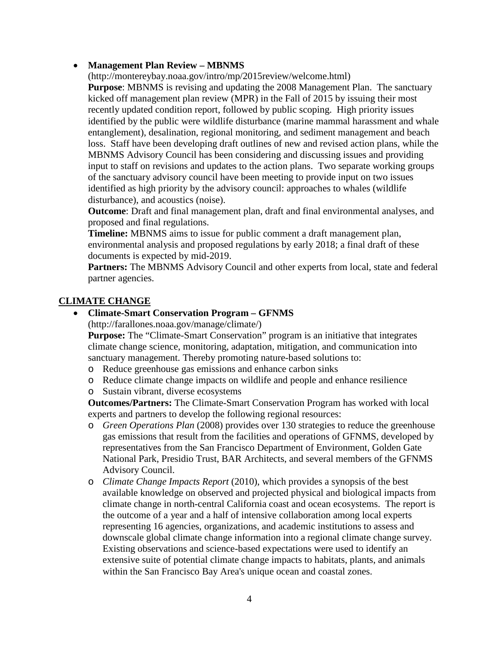### • **Management Plan Review – MBNMS**

(http://montereybay.noaa.gov/intro/mp/2015review/welcome.html) **Purpose**: MBNMS is revising and updating the 2008 Management Plan. The sanctuary kicked off management plan review (MPR) in the Fall of 2015 by issuing their most recently updated condition report, followed by public scoping. High priority issues identified by the public were wildlife disturbance (marine mammal harassment and whale entanglement), desalination, regional monitoring, and sediment management and beach loss. Staff have been developing draft outlines of new and revised action plans, while the MBNMS Advisory Council has been considering and discussing issues and providing input to staff on revisions and updates to the action plans. Two separate working groups of the sanctuary advisory council have been meeting to provide input on two issues identified as high priority by the advisory council: approaches to whales (wildlife disturbance), and acoustics (noise).

**Outcome**: Draft and final management plan, draft and final environmental analyses, and proposed and final regulations.

**Timeline:** MBNMS aims to issue for public comment a draft management plan, environmental analysis and proposed regulations by early 2018; a final draft of these documents is expected by mid-2019.

**Partners:** The MBNMS Advisory Council and other experts from local, state and federal partner agencies.

# **CLIMATE CHANGE**

### • **Climate-Smart Conservation Program – GFNMS**

(http://farallones.noaa.gov/manage/climate/)

**Purpose:** The "Climate-Smart Conservation" program is an initiative that integrates climate change science, monitoring, adaptation, mitigation, and communication into sanctuary management. Thereby promoting nature-based solutions to:

- o Reduce greenhouse gas emissions and enhance carbon sinks
- o Reduce climate change impacts on wildlife and people and enhance resilience
- o Sustain vibrant, diverse ecosystems

**Outcomes/Partners:** The Climate-Smart Conservation Program has worked with local experts and partners to develop the following regional resources:

- o *Green Operations Plan* (2008) provides over 130 strategies to reduce the greenhouse gas emissions that result from the facilities and operations of GFNMS, developed by representatives from the San Francisco Department of Environment, Golden Gate National Park, Presidio Trust, BAR Architects, and several members of the GFNMS Advisory Council.
- o *Climate Change Impacts Report* (2010), which provides a synopsis of the best available knowledge on observed and projected physical and biological impacts from climate change in north-central California coast and ocean ecosystems. The report is the outcome of a year and a half of intensive collaboration among local experts representing 16 agencies, organizations, and academic institutions to assess and downscale global climate change information into a regional climate change survey. Existing observations and science-based expectations were used to identify an extensive suite of potential climate change impacts to habitats, plants, and animals within the San Francisco Bay Area's unique ocean and coastal zones.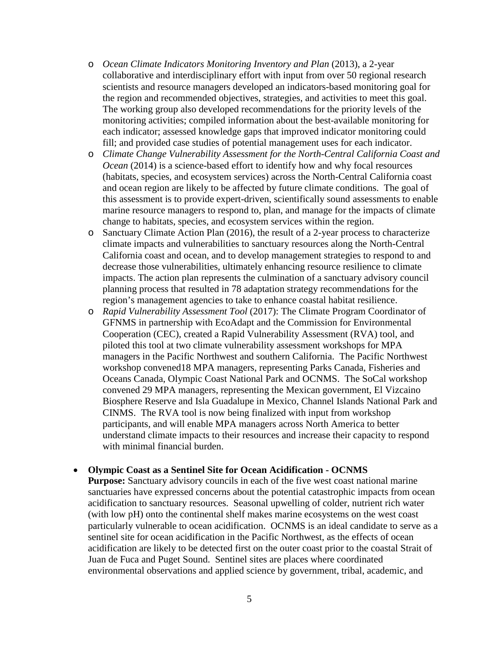- o *Ocean Climate Indicators Monitoring Inventory and Plan* (2013), a 2-year collaborative and interdisciplinary effort with input from over 50 regional research scientists and resource managers developed an indicators-based monitoring goal for the region and recommended objectives, strategies, and activities to meet this goal. The working group also developed recommendations for the priority levels of the monitoring activities; compiled information about the best-available monitoring for each indicator; assessed knowledge gaps that improved indicator monitoring could fill; and provided case studies of potential management uses for each indicator.
- o *Climate Change Vulnerability Assessment for the North-Central California Coast and Ocean* (2014) is a science-based effort to identify how and why focal resources (habitats, species, and ecosystem services) across the North-Central California coast and ocean region are likely to be affected by future climate conditions. The goal of this assessment is to provide expert-driven, scientifically sound assessments to enable marine resource managers to respond to, plan, and manage for the impacts of climate change to habitats, species, and ecosystem services within the region.
- o Sanctuary Climate Action Plan (2016), the result of a 2-year process to characterize climate impacts and vulnerabilities to sanctuary resources along the North-Central California coast and ocean, and to develop management strategies to respond to and decrease those vulnerabilities, ultimately enhancing resource resilience to climate impacts. The action plan represents the culmination of a sanctuary advisory council planning process that resulted in 78 adaptation strategy recommendations for the region's management agencies to take to enhance coastal habitat resilience.
- o *Rapid Vulnerability Assessment Tool* (2017): The Climate Program Coordinator of GFNMS in partnership with EcoAdapt and the Commission for Environmental Cooperation (CEC), created a Rapid Vulnerability Assessment (RVA) tool, and piloted this tool at two climate vulnerability assessment workshops for MPA managers in the Pacific Northwest and southern California. The Pacific Northwest workshop convened18 MPA managers, representing Parks Canada, Fisheries and Oceans Canada, Olympic Coast National Park and OCNMS. The SoCal workshop convened 29 MPA managers, representing the Mexican government, El Vizcaino Biosphere Reserve and Isla Guadalupe in Mexico, Channel Islands National Park and CINMS. The RVA tool is now being finalized with input from workshop participants, and will enable MPA managers across North America to better understand climate impacts to their resources and increase their capacity to respond with minimal financial burden.

#### • **Olympic Coast as a Sentinel Site for Ocean Acidification - OCNMS**

**Purpose:** Sanctuary advisory councils in each of the five west coast national marine sanctuaries have expressed concerns about the potential catastrophic impacts from ocean acidification to sanctuary resources. Seasonal upwelling of colder, nutrient rich water (with low pH) onto the continental shelf makes marine ecosystems on the west coast particularly vulnerable to ocean acidification. OCNMS is an ideal candidate to serve as a sentinel site for ocean acidification in the Pacific Northwest, as the effects of ocean acidification are likely to be detected first on the outer coast prior to the coastal Strait of Juan de Fuca and Puget Sound. Sentinel sites are places where coordinated environmental observations and applied science by government, tribal, academic, and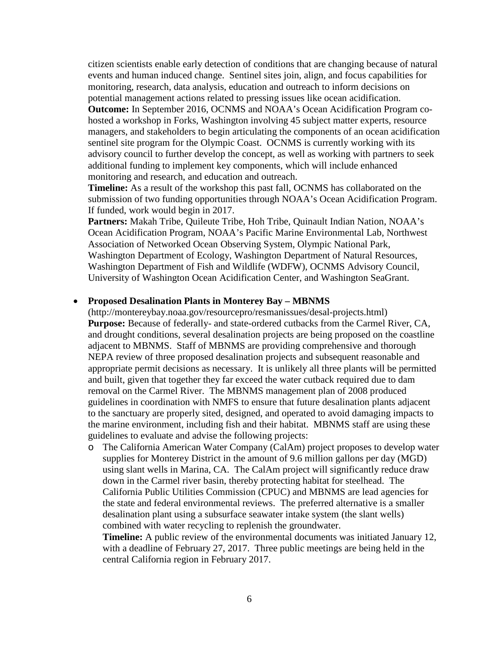citizen scientists enable early detection of conditions that are changing because of natural events and human induced change. Sentinel sites join, align, and focus capabilities for monitoring, research, data analysis, education and outreach to inform decisions on potential management actions related to pressing issues like ocean acidification. **Outcome:** In September 2016, OCNMS and NOAA's Ocean Acidification Program cohosted a workshop in Forks, Washington involving 45 subject matter experts, resource managers, and stakeholders to begin articulating the components of an ocean acidification sentinel site program for the Olympic Coast. OCNMS is currently working with its advisory council to further develop the concept, as well as working with partners to seek additional funding to implement key components, which will include enhanced monitoring and research, and education and outreach.

**Timeline:** As a result of the workshop this past fall, OCNMS has collaborated on the submission of two funding opportunities through NOAA's Ocean Acidification Program. If funded, work would begin in 2017.

**Partners:** Makah Tribe, Quileute Tribe, Hoh Tribe, Quinault Indian Nation, NOAA's Ocean Acidification Program, NOAA's Pacific Marine Environmental Lab, Northwest Association of Networked Ocean Observing System, Olympic National Park, Washington Department of Ecology, Washington Department of Natural Resources, Washington Department of Fish and Wildlife (WDFW), OCNMS Advisory Council, University of Washington Ocean Acidification Center, and Washington SeaGrant.

### • **Proposed Desalination Plants in Monterey Bay – MBNMS**

(http://montereybay.noaa.gov/resourcepro/resmanissues/desal-projects.html) **Purpose:** Because of federally- and state-ordered cutbacks from the Carmel River, CA, and drought conditions, several desalination projects are being proposed on the coastline adjacent to MBNMS. Staff of MBNMS are providing comprehensive and thorough NEPA review of three proposed desalination projects and subsequent reasonable and appropriate permit decisions as necessary. It is unlikely all three plants will be permitted and built, given that together they far exceed the water cutback required due to dam removal on the Carmel River. The MBNMS management plan of 2008 produced guidelines in coordination with NMFS to ensure that future desalination plants adjacent to the sanctuary are properly sited, designed, and operated to avoid damaging impacts to the marine environment, including fish and their habitat. MBNMS staff are using these guidelines to evaluate and advise the following projects:

o The California American Water Company (CalAm) project proposes to develop water supplies for Monterey District in the amount of 9.6 million gallons per day (MGD) using slant wells in Marina, CA. The CalAm project will significantly reduce draw down in the Carmel river basin, thereby protecting habitat for steelhead. The California Public Utilities Commission (CPUC) and MBNMS are lead agencies for the state and federal environmental reviews. The preferred alternative is a smaller desalination plant using a subsurface seawater intake system (the slant wells) combined with water recycling to replenish the groundwater.

**Timeline:** A public review of the environmental documents was initiated January 12, with a deadline of February 27, 2017. Three public meetings are being held in the central California region in February 2017.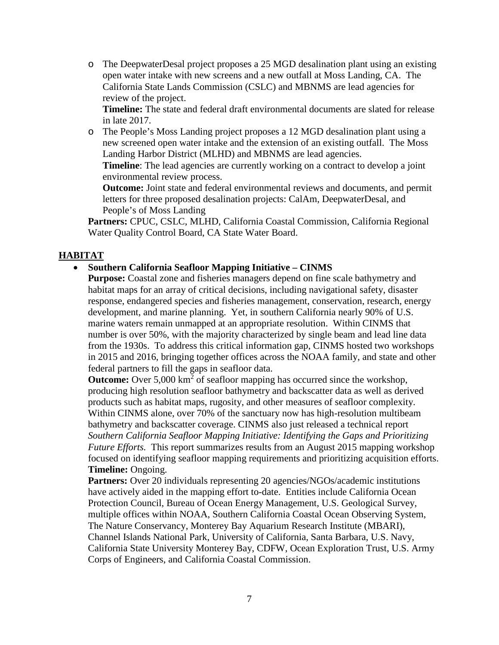o The DeepwaterDesal project proposes a 25 MGD desalination plant using an existing open water intake with new screens and a new outfall at Moss Landing, CA. The California State Lands Commission (CSLC) and MBNMS are lead agencies for review of the project.

**Timeline:** The state and federal draft environmental documents are slated for release in late 2017.

o The People's Moss Landing project proposes a 12 MGD desalination plant using a new screened open water intake and the extension of an existing outfall. The Moss Landing Harbor District (MLHD) and MBNMS are lead agencies.

**Timeline**: The lead agencies are currently working on a contract to develop a joint environmental review process.

**Outcome:** Joint state and federal environmental reviews and documents, and permit letters for three proposed desalination projects: CalAm, DeepwaterDesal, and People's of Moss Landing

**Partners:** CPUC, CSLC, MLHD, California Coastal Commission, California Regional Water Quality Control Board, CA State Water Board.

### **HABITAT**

### • **Southern California Seafloor Mapping Initiative – CINMS**

**Purpose:** Coastal zone and fisheries managers depend on fine scale bathymetry and habitat maps for an array of critical decisions, including navigational safety, disaster response, endangered species and fisheries management, conservation, research, energy development, and marine planning. Yet, in southern California nearly 90% of U.S. marine waters remain unmapped at an appropriate resolution. Within CINMS that number is over 50%, with the majority characterized by single beam and lead line data from the 1930s. To address this critical information gap, CINMS hosted two workshops in 2015 and 2016, bringing together offices across the NOAA family, and state and other federal partners to fill the gaps in seafloor data.

**Outcome:** Over 5,000 km<sup>2</sup> of seafloor mapping has occurred since the workshop, producing high resolution seafloor bathymetry and backscatter data as well as derived products such as habitat maps, rugosity, and other measures of seafloor complexity. Within CINMS alone, over 70% of the sanctuary now has high-resolution multibeam bathymetry and backscatter coverage. CINMS also just released a technical repor[t](http://sanctuaries.noaa.gov/science/conservation/seafloor-mapping-initiative.html) *[Southern California Seafloor Mapping Initiative: Identifying the Gaps and Prioritizing](http://sanctuaries.noaa.gov/science/conservation/seafloor-mapping-initiative.html)  [Future Efforts.](http://sanctuaries.noaa.gov/science/conservation/seafloor-mapping-initiative.html)* This report summarizes results from an August 2015 mapping workshop focused on identifying seafloor mapping requirements and prioritizing acquisition efforts. **Timeline:** Ongoing.

**Partners:** Over 20 individuals representing 20 agencies/NGOs/academic institutions have actively aided in the mapping effort to-date. Entities include California Ocean Protection Council, Bureau of Ocean Energy Management, U.S. Geological Survey, multiple offices within NOAA, Southern California Coastal Ocean Observing System, The Nature Conservancy, Monterey Bay Aquarium Research Institute (MBARI), Channel Islands National Park, University of California, Santa Barbara, U.S. Navy, California State University Monterey Bay, CDFW, Ocean Exploration Trust, U.S. Army Corps of Engineers, and California Coastal Commission.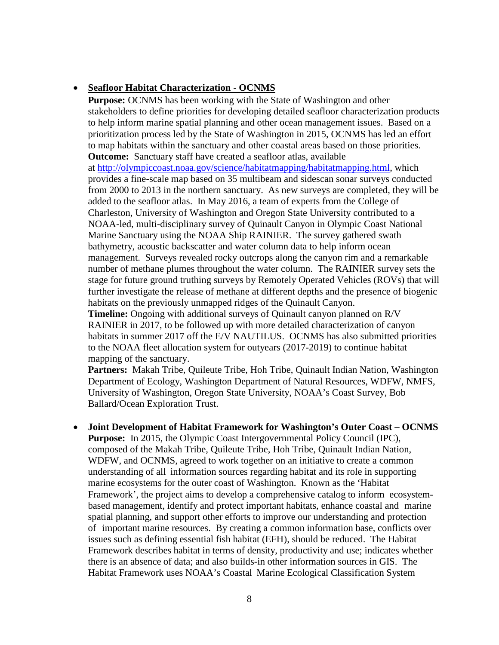### • **Seafloor Habitat Characterization - OCNMS**

**Purpose:** OCNMS has been working with the State of Washington and other stakeholders to define priorities for developing detailed seafloor characterization products to help inform marine spatial planning and other ocean management issues. Based on a prioritization process led by the State of Washington in 2015, OCNMS has led an effort to map habitats within the sanctuary and other coastal areas based on those priorities. **Outcome:** Sanctuary staff have created a seafloor atlas, available

at [http://olympiccoast.noaa.gov/science/habitatmapping/habitatmapping.html,](http://olympiccoast.noaa.gov/science/habitatmapping/habitatmapping.html) which provides a fine-scale map based on 35 multibeam and sidescan sonar surveys conducted from 2000 to 2013 in the northern sanctuary. As new surveys are completed, they will be added to the seafloor atlas. In May 2016, a team of experts from the College of Charleston, University of Washington and Oregon State University contributed to a NOAA-led, multi-disciplinary survey of Quinault Canyon in Olympic Coast National Marine Sanctuary using the NOAA Ship RAINIER. The survey gathered swath bathymetry, acoustic backscatter and water column data to help inform ocean management. Surveys revealed rocky outcrops along the canyon rim and a remarkable number of methane plumes throughout the water column. The RAINIER survey sets the stage for future ground truthing surveys by Remotely Operated Vehicles (ROVs) that will further investigate the release of methane at different depths and the presence of biogenic habitats on the previously unmapped ridges of the Quinault Canyon.

**Timeline:** Ongoing with additional surveys of Quinault canyon planned on R/V RAINIER in 2017, to be followed up with more detailed characterization of canyon habitats in summer 2017 off the E/V NAUTILUS. OCNMS has also submitted priorities to the NOAA fleet allocation system for outyears (2017-2019) to continue habitat mapping of the sanctuary.

**Partners:** Makah Tribe, Quileute Tribe, Hoh Tribe, Quinault Indian Nation, Washington Department of Ecology, Washington Department of Natural Resources, WDFW, NMFS, University of Washington, Oregon State University, NOAA's Coast Survey, Bob Ballard/Ocean Exploration Trust.

• **Joint Development of Habitat Framework for Washington's Outer Coast – OCNMS Purpose:** In 2015, the Olympic Coast Intergovernmental Policy Council (IPC), composed of the Makah Tribe, Quileute Tribe, Hoh Tribe, Quinault Indian Nation, WDFW, and OCNMS, agreed to work together on an initiative to create a common understanding of all information sources regarding habitat and its role in supporting marine ecosystems for the outer coast of Washington. Known as the 'Habitat Framework', the project aims to develop a comprehensive catalog to inform ecosystembased management, identify and protect important habitats, enhance coastal and marine spatial planning, and support other efforts to improve our understanding and protection of important marine resources. By creating a common information base, conflicts over issues such as defining essential fish habitat (EFH), should be reduced. The Habitat Framework describes habitat in terms of density, productivity and use; indicates whether there is an absence of data; and also builds-in other information sources in GIS. The Habitat Framework uses NOAA's Coastal Marine Ecological Classification System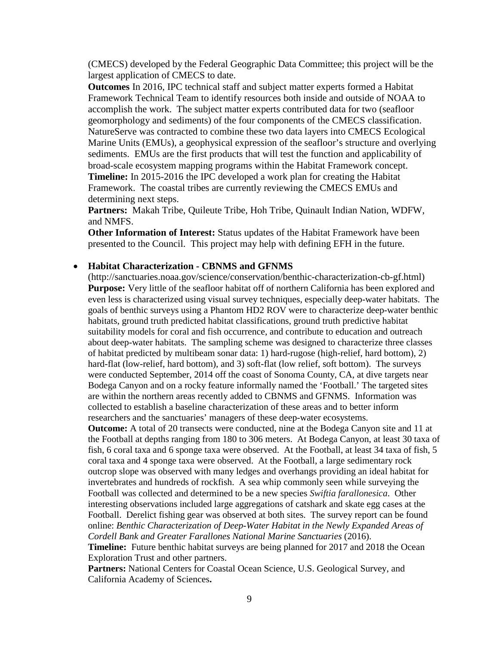(CMECS) developed by the Federal Geographic Data Committee; this project will be the largest application of CMECS to date.

**Outcomes** In 2016, IPC technical staff and subject matter experts formed a Habitat Framework Technical Team to identify resources both inside and outside of NOAA to accomplish the work. The subject matter experts contributed data for two (seafloor geomorphology and sediments) of the four components of the CMECS classification. NatureServe was contracted to combine these two data layers into CMECS Ecological Marine Units (EMUs), a geophysical expression of the seafloor's structure and overlying sediments. EMUs are the first products that will test the function and applicability of broad-scale ecosystem mapping programs within the Habitat Framework concept. **Timeline:** In 2015-2016 the IPC developed a work plan for creating the Habitat Framework. The coastal tribes are currently reviewing the CMECS EMUs and determining next steps.

**Partners:** Makah Tribe, Quileute Tribe, Hoh Tribe, Quinault Indian Nation, WDFW, and NMFS.

**Other Information of Interest:** Status updates of the Habitat Framework have been presented to the Council. This project may help with defining EFH in the future.

#### • **Habitat Characterization - CBNMS and GFNMS**

(http://sanctuaries.noaa.gov/science/conservation/benthic-characterization-cb-gf.html) **Purpose:** Very little of the seafloor habitat off of northern California has been explored and even less is characterized using visual survey techniques, especially deep-water habitats. The goals of benthic surveys using a Phantom HD2 ROV were to characterize deep-water benthic habitats, ground truth predicted habitat classifications, ground truth predictive habitat suitability models for coral and fish occurrence, and contribute to education and outreach about deep-water habitats. The sampling scheme was designed to characterize three classes of habitat predicted by multibeam sonar data: 1) hard-rugose (high-relief, hard bottom), 2) hard-flat (low-relief, hard bottom), and 3) soft-flat (low relief, soft bottom). The surveys were conducted September, 2014 off the coast of Sonoma County, CA, at dive targets near Bodega Canyon and on a rocky feature informally named the 'Football.' The targeted sites are within the northern areas recently added to CBNMS and GFNMS. Information was collected to establish a baseline characterization of these areas and to better inform researchers and the sanctuaries' managers of these deep-water ecosystems.

**Outcome:** A total of 20 transects were conducted, nine at the Bodega Canyon site and 11 at the Football at depths ranging from 180 to 306 meters. At Bodega Canyon, at least 30 taxa of fish, 6 coral taxa and 6 sponge taxa were observed. At the Football, at least 34 taxa of fish, 5 coral taxa and 4 sponge taxa were observed. At the Football, a large sedimentary rock outcrop slope was observed with many ledges and overhangs providing an ideal habitat for invertebrates and hundreds of rockfish. A sea whip commonly seen while surveying the Football was collected and determined to be a new species *Swiftia farallonesica*. Other interesting observations included large aggregations of catshark and skate egg cases at the Football. Derelict fishing gear was observed at both sites. The survey report can be found online: *Benthic Characterization of Deep-Water Habitat in the Newly Expanded Areas of Cordell Bank and Greater Farallones National Marine Sanctuaries* (2016).

**Timeline:** Future benthic habitat surveys are being planned for 2017 and 2018 the Ocean Exploration Trust and other partners.

**Partners:** National Centers for Coastal Ocean Science, U.S. Geological Survey, and California Academy of Sciences**.**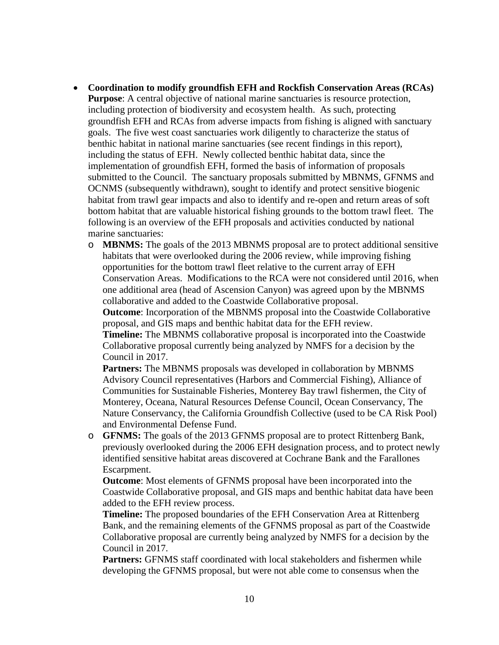- **Coordination to modify groundfish EFH and Rockfish Conservation Areas (RCAs) Purpose**: A central objective of national marine sanctuaries is resource protection, including protection of biodiversity and ecosystem health. As such, protecting groundfish EFH and RCAs from adverse impacts from fishing is aligned with sanctuary goals. The five west coast sanctuaries work diligently to characterize the status of benthic habitat in national marine sanctuaries (see recent findings in this report), including the status of EFH. Newly collected benthic habitat data, since the implementation of groundfish EFH, formed the basis of information of proposals submitted to the Council. The sanctuary proposals submitted by MBNMS, GFNMS and OCNMS (subsequently withdrawn), sought to identify and protect sensitive biogenic habitat from trawl gear impacts and also to identify and re-open and return areas of soft bottom habitat that are valuable historical fishing grounds to the bottom trawl fleet. The following is an overview of the EFH proposals and activities conducted by national marine sanctuaries:
	- o **MBNMS:** The goals of the 2013 MBNMS proposal are to protect additional sensitive habitats that were overlooked during the 2006 review, while improving fishing opportunities for the bottom trawl fleet relative to the current array of EFH Conservation Areas. Modifications to the RCA were not considered until 2016, when one additional area (head of Ascension Canyon) was agreed upon by the MBNMS collaborative and added to the Coastwide Collaborative proposal.

**Outcome**: Incorporation of the MBNMS proposal into the Coastwide Collaborative proposal, and GIS maps and benthic habitat data for the EFH review.

**Timeline:** The MBNMS collaborative proposal is incorporated into the Coastwide Collaborative proposal currently being analyzed by NMFS for a decision by the Council in 2017.

**Partners:** The MBNMS proposals was developed in collaboration by MBNMS Advisory Council representatives (Harbors and Commercial Fishing), Alliance of Communities for Sustainable Fisheries, Monterey Bay trawl fishermen, the City of Monterey, Oceana, Natural Resources Defense Council, Ocean Conservancy, The Nature Conservancy, the California Groundfish Collective (used to be CA Risk Pool) and Environmental Defense Fund.

o **GFNMS:** The goals of the 2013 GFNMS proposal are to protect Rittenberg Bank, previously overlooked during the 2006 EFH designation process, and to protect newly identified sensitive habitat areas discovered at Cochrane Bank and the Farallones Escarpment.

**Outcome**: Most elements of GFNMS proposal have been incorporated into the Coastwide Collaborative proposal, and GIS maps and benthic habitat data have been added to the EFH review process.

**Timeline:** The proposed boundaries of the EFH Conservation Area at Rittenberg Bank, and the remaining elements of the GFNMS proposal as part of the Coastwide Collaborative proposal are currently being analyzed by NMFS for a decision by the Council in 2017.

**Partners:** GFNMS staff coordinated with local stakeholders and fishermen while developing the GFNMS proposal, but were not able come to consensus when the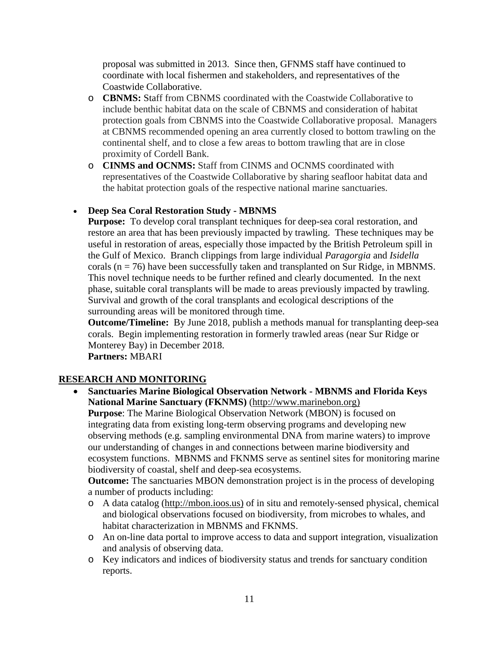proposal was submitted in 2013. Since then, GFNMS staff have continued to coordinate with local fishermen and stakeholders, and representatives of the Coastwide Collaborative.

- o **CBNMS:** Staff from CBNMS coordinated with the Coastwide Collaborative to include benthic habitat data on the scale of CBNMS and consideration of habitat protection goals from CBNMS into the Coastwide Collaborative proposal. Managers at CBNMS recommended opening an area currently closed to bottom trawling on the continental shelf, and to close a few areas to bottom trawling that are in close proximity of Cordell Bank.
- o **CINMS and OCNMS:** Staff from CINMS and OCNMS coordinated with representatives of the Coastwide Collaborative by sharing seafloor habitat data and the habitat protection goals of the respective national marine sanctuaries.

# • **Deep Sea Coral Restoration Study - MBNMS**

**Purpose:** To develop coral transplant techniques for deep-sea coral restoration, and restore an area that has been previously impacted by trawling. These techniques may be useful in restoration of areas, especially those impacted by the British Petroleum spill in the Gulf of Mexico. Branch clippings from large individual *Paragorgia* and *Isidella* corals ( $n = 76$ ) have been successfully taken and transplanted on Sur Ridge, in MBNMS. This novel technique needs to be further refined and clearly documented. In the next phase, suitable coral transplants will be made to areas previously impacted by trawling. Survival and growth of the coral transplants and ecological descriptions of the surrounding areas will be monitored through time.

**Outcome/Timeline:** By June 2018, publish a methods manual for transplanting deep-sea corals. Begin implementing restoration in formerly trawled areas (near Sur Ridge or Monterey Bay) in December 2018.

**Partners:** MBARI

# **RESEARCH AND MONITORING**

• **Sanctuaries Marine Biological Observation Network - MBNMS and Florida Keys National Marine Sanctuary (FKNMS)** [\(http://www.marinebon.org\)](http://www.marinebon.org)/) **Purpose**: The Marine Biological Observation Network (MBON) is focused on integrating data from existing long-term observing programs and developing new observing methods (e.g. sampling environmental DNA from marine waters) to improve our understanding of changes in and connections between marine biodiversity and ecosystem functions. MBNMS and FKNMS serve as sentinel sites for monitoring marine biodiversity of coastal, shelf and deep-sea ecosystems.

**Outcome:** The sanctuaries MBON demonstration project is in the process of developing a number of products including:

- o A data catalog [\(http://mbon.ioos.us\)](http://mbon.ioos.us)/) of in situ and remotely-sensed physical, chemical and biological observations focused on biodiversity, from microbes to whales, and habitat characterization in MBNMS and FKNMS.
- o An on-line data portal to improve access to data and support integration, visualization and analysis of observing data.
- o Key indicators and indices of biodiversity status and trends for sanctuary condition reports.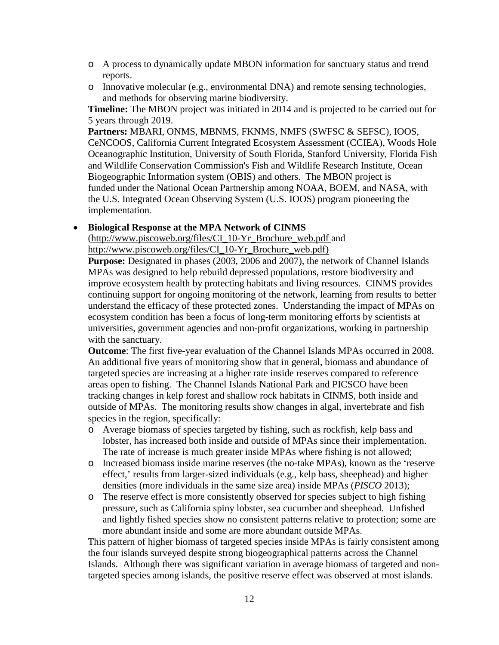- o A process to dynamically update MBON information for sanctuary status and trend reports.
- o Innovative molecular (e.g., environmental DNA) and remote sensing technologies, and methods for observing marine biodiversity.

**Timeline:** The MBON project was initiated in 2014 and is projected to be carried out for 5 years through 2019.

**Partners:** MBARI, ONMS, MBNMS, FKNMS, NMFS (SWFSC & SEFSC), IOOS, CeNCOOS, California Current Integrated Ecosystem Assessment (CCIEA), Woods Hole Oceanographic Institution, University of South Florida, Stanford University, Florida Fish and Wildlife Conservation Commission's Fish and Wildlife Research Institute, Ocean Biogeographic Information system (OBIS) and others. The MBON project is funded under the National Ocean Partnership among NOAA, BOEM, and NASA, with the U.S. Integrated Ocean Observing System (U.S. IOOS) program pioneering the implementation.

### • **Biological Response at the MPA Network of CINMS**

[\(http://www.piscoweb.org/files/CI\\_10-Yr\\_Brochure\\_web.pdf](http://www.piscoweb.org/files/CI_10-Yr_Brochure_web.pdf) and [http://www.piscoweb.org/files/CI\\_10-Yr\\_Brochure\\_web.pdf\)](http://www.piscoweb.org/files/CI_10-Yr_Brochure_web.pdf)

**Purpose:** Designated in phases (2003, 2006 and 2007), the network of Channel Islands MPAs was designed to help rebuild depressed populations, restore biodiversity and improve ecosystem health by protecting habitats and living resources. CINMS provides continuing support for ongoing monitoring of the network, learning from results to better understand the efficacy of these protected zones. Understanding the impact of MPAs on ecosystem condition has been a focus of long-term monitoring efforts by scientists at universities, government agencies and non-profit organizations, working in partnership with the sanctuary.

**Outcome**: The first five-year evaluation of the Channel Islands MPAs occurred in 2008. An additional five years of monitoring show that in general, biomass and abundance of targeted species are increasing at a higher rate inside reserves compared to reference areas open to fishing. The Channel Islands National Park and PICSCO have been tracking changes in kelp forest and shallow rock habitats in CINMS, both inside and outside of MPAs. The monitoring results show changes in algal, invertebrate and fish species in the region, specifically:

- o Average biomass of species targeted by fishing, such as rockfish, kelp bass and lobster, has increased both inside and outside of MPAs since their implementation. The rate of increase is much greater inside MPAs where fishing is not allowed;
- o Increased biomass inside marine reserves (the no-take MPAs), known as the 'reserve effect,' results from larger-sized individuals (e.g., kelp bass, sheephead) and higher densities (more individuals in the same size area) inside MPAs (*PISCO* 2013);
- o The reserve effect is more consistently observed for species subject to high fishing pressure, such as California spiny lobster, sea cucumber and sheephead. Unfished and lightly fished species show no consistent patterns relative to protection; some are more abundant inside and some are more abundant outside MPAs.

This pattern of higher biomass of targeted species inside MPAs is fairly consistent among the four islands surveyed despite strong biogeographical patterns across the Channel Islands. Although there was significant variation in average biomass of targeted and nontargeted species among islands, the positive reserve effect was observed at most islands.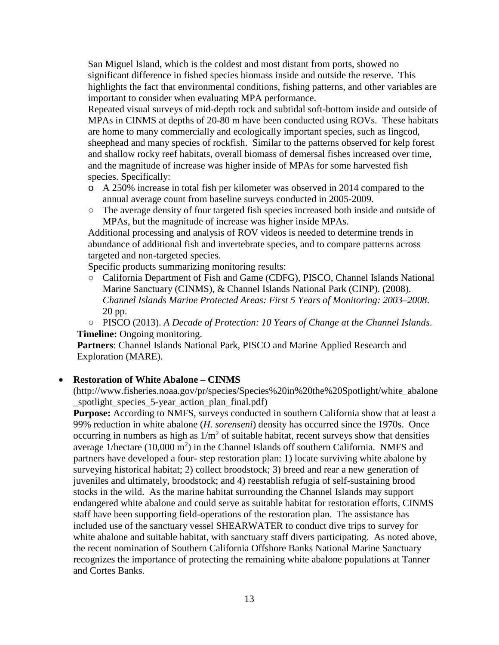San Miguel Island, which is the coldest and most distant from ports, showed no significant difference in fished species biomass inside and outside the reserve. This highlights the fact that environmental conditions, fishing patterns, and other variables are important to consider when evaluating MPA performance.

Repeated visual surveys of mid-depth rock and subtidal soft-bottom inside and outside of MPAs in CINMS at depths of 20-80 m have been conducted using ROVs. These habitats are home to many commercially and ecologically important species, such as lingcod, sheephead and many species of rockfish. Similar to the patterns observed for kelp forest and shallow rocky reef habitats, overall biomass of demersal fishes increased over time, and the magnitude of increase was higher inside of MPAs for some harvested fish species. Specifically:

- o A 250% increase in total fish per kilometer was observed in 2014 compared to the annual average count from baseline surveys conducted in 2005-2009.
- The average density of four targeted fish species increased both inside and outside of MPAs, but the magnitude of increase was higher inside MPAs.

Additional processing and analysis of ROV videos is needed to determine trends in abundance of additional fish and invertebrate species, and to compare patterns across targeted and non-targeted species.

Specific products summarizing monitoring results:

- California Department of Fish and Game (CDFG), PISCO, Channel Islands National Marine Sanctuary (CINMS), & Channel Islands National Park (CINP). (2008). *Channel Islands Marine Protected Areas: First 5 Years of Monitoring: 2003–2008*. 20 pp[.](https://www.google.com/#q=channel+islands+Mpas+2008)
- PISCO (2013). *A Decade of Protection: 10 Years of Change at the Channel Islands*[.](http://www.piscoweb.org/files/CI_10-Yr_Brochure_web.pdf) **Timeline:** Ongoing monitoring.

**Partners**: Channel Islands National Park, PISCO and Marine Applied Research and Exploration (MARE).

#### • **Restoration of White Abalone – CINMS**

(http://www.fisheries.noaa.gov/pr/species/Species%20in%20the%20Spotlight/white\_abalone \_spotlight\_species\_5-year\_action\_plan\_final.pdf)

**Purpose:** According to NMFS, surveys conducted in southern California show that at least a 99% reduction in white abalone (*H. sorenseni*) density has occurred since the 1970s. Once occurring in numbers as high as  $1/m^2$  of suitable habitat, recent surveys show that densities average 1/hectare  $(10,000 \text{ m}^2)$  in the Channel Islands off southern California. NMFS and partners have developed a four- step restoration plan: 1) locate surviving white abalone by surveying historical habitat; 2) collect broodstock; 3) breed and rear a new generation of juveniles and ultimately, broodstock; and 4) reestablish refugia of self-sustaining brood stocks in the wild. As the marine habitat surrounding the Channel Islands may support endangered white abalone and could serve as suitable habitat for restoration efforts, CINMS staff have been supporting field-operations of the restoration plan. The assistance has included use of the sanctuary vessel SHEARWATER to conduct dive trips to survey for white abalone and suitable habitat, with sanctuary staff divers participating. As noted above, the recent nomination of Southern California Offshore Banks National Marine Sanctuary recognizes the importance of protecting the remaining white abalone populations at Tanner and Cortes Banks.